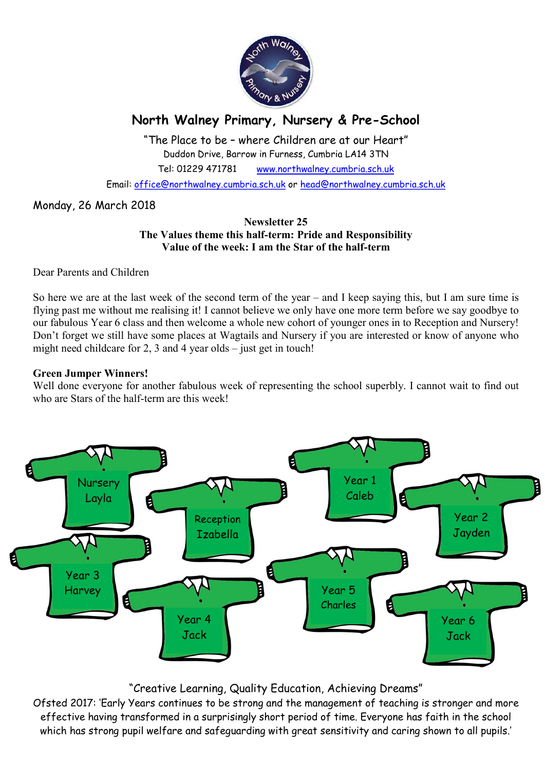

# North Walney Primary, Nursery & Pre-School

"The Place to be – where Children are at our Heart" Duddon Drive, Barrow in Furness, Cumbria LA14 3TN Tel: 01229 471781 www.northwalney.cumbria.sch.uk

Email: office@northwalney.cumbria.sch.uk or head@northwalney.cumbria.sch.uk

Monday, 26 March 2018

#### Newsletter 25 The Values theme this half-term: Pride and Responsibility Value of the week: I am the Star of the half-term

Dear Parents and Children

So here we are at the last week of the second term of the year – and I keep saying this, but I am sure time is flying past me without me realising it! I cannot believe we only have one more term before we say goodbye to our fabulous Year 6 class and then welcome a whole new cohort of younger ones in to Reception and Nursery! Don't forget we still have some places at Wagtails and Nursery if you are interested or know of anyone who might need childcare for 2, 3 and 4 year olds – just get in touch!

#### Green Jumper Winners!

Well done everyone for another fabulous week of representing the school superbly. I cannot wait to find out who are Stars of the half-term are this week!



# "Creative Learning, Quality Education, Achieving Dreams"

Ofsted 2017: 'Early Years continues to be strong and the management of teaching is stronger and more effective having transformed in a surprisingly short period of time. Everyone has faith in the school which has strong pupil welfare and safeguarding with great sensitivity and caring shown to all pupils.'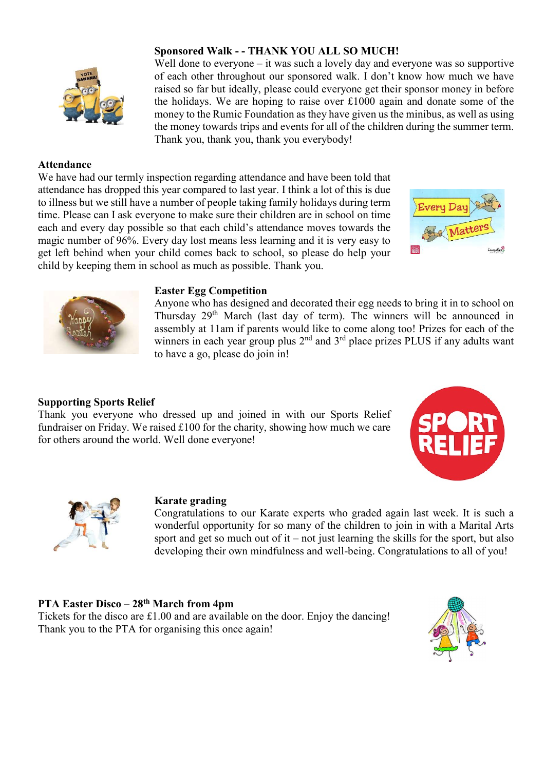

#### Attendance

We have had our termly inspection regarding attendance and have been told that attendance has dropped this year compared to last year. I think a lot of this is due to illness but we still have a number of people taking family holidays during term time. Please can I ask everyone to make sure their children are in school on time each and every day possible so that each child's attendance moves towards the magic number of 96%. Every day lost means less learning and it is very easy to get left behind when your child comes back to school, so please do help your child by keeping them in school as much as possible. Thank you.

Sponsored Walk - - THANK YOU ALL SO MUCH!

Thank you, thank you, thank you everybody!





#### Easter Egg Competition

Anyone who has designed and decorated their egg needs to bring it in to school on Thursday 29<sup>th</sup> March (last day of term). The winners will be announced in assembly at 11am if parents would like to come along too! Prizes for each of the winners in each year group plus 2<sup>nd</sup> and 3<sup>rd</sup> place prizes PLUS if any adults want to have a go, please do join in!

Well done to everyone – it was such a lovely day and everyone was so supportive of each other throughout our sponsored walk. I don't know how much we have raised so far but ideally, please could everyone get their sponsor money in before the holidays. We are hoping to raise over £1000 again and donate some of the money to the Rumic Foundation as they have given us the minibus, as well as using the money towards trips and events for all of the children during the summer term.

## Supporting Sports Relief

Thank you everyone who dressed up and joined in with our Sports Relief fundraiser on Friday. We raised £100 for the charity, showing how much we care for others around the world. Well done everyone!





#### Karate grading

Congratulations to our Karate experts who graded again last week. It is such a wonderful opportunity for so many of the children to join in with a Marital Arts sport and get so much out of it – not just learning the skills for the sport, but also developing their own mindfulness and well-being. Congratulations to all of you!

#### PTA Easter Disco – 28<sup>th</sup> March from 4pm

Tickets for the disco are £1.00 and are available on the door. Enjoy the dancing! Thank you to the PTA for organising this once again!

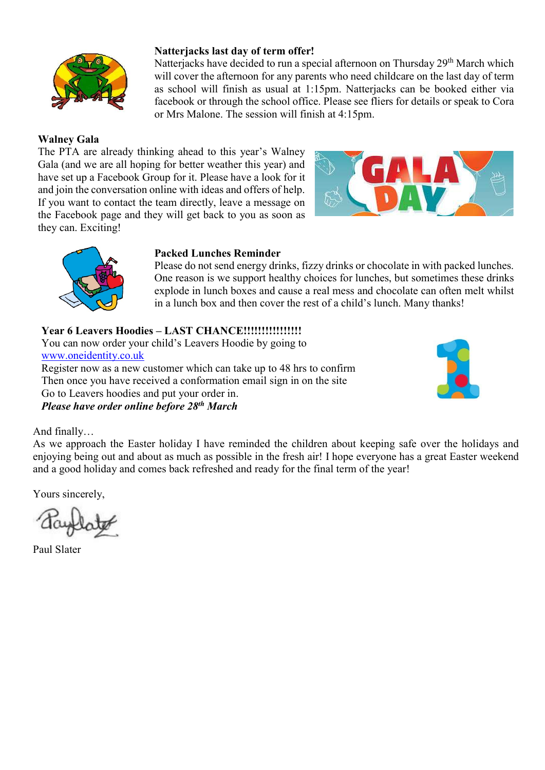

#### Natterjacks last day of term offer!

Natterjacks have decided to run a special afternoon on Thursday 29<sup>th</sup> March which will cover the afternoon for any parents who need childcare on the last day of term as school will finish as usual at 1:15pm. Natterjacks can be booked either via facebook or through the school office. Please see fliers for details or speak to Cora or Mrs Malone. The session will finish at 4:15pm.

#### Walney Gala

The PTA are already thinking ahead to this year's Walney Gala (and we are all hoping for better weather this year) and have set up a Facebook Group for it. Please have a look for it and join the conversation online with ideas and offers of help. If you want to contact the team directly, leave a message on the Facebook page and they will get back to you as soon as they can. Exciting!





#### Packed Lunches Reminder

Please do not send energy drinks, fizzy drinks or chocolate in with packed lunches. One reason is we support healthy choices for lunches, but sometimes these drinks explode in lunch boxes and cause a real mess and chocolate can often melt whilst in a lunch box and then cover the rest of a child's lunch. Many thanks!

## Year 6 Leavers Hoodies – LAST CHANCE!!!!!!!!!!!!!!!!

You can now order your child's Leavers Hoodie by going to www.oneidentity.co.uk Register now as a new customer which can take up to 48 hrs to confirm Then once you have received a conformation email sign in on the site Go to Leavers hoodies and put your order in. Please have order online before 28<sup>th</sup> March



#### And finally…

As we approach the Easter holiday I have reminded the children about keeping safe over the holidays and enjoying being out and about as much as possible in the fresh air! I hope everyone has a great Easter weekend and a good holiday and comes back refreshed and ready for the final term of the year!

Yours sincerely,

Paul Slater